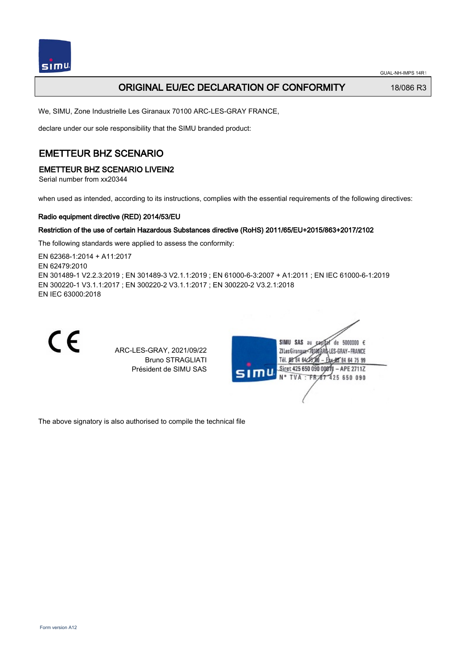

## ORIGINAL EU/EC DECLARATION OF CONFORMITY 18/086 R3

We, SIMU, Zone Industrielle Les Giranaux 70100 ARC-LES-GRAY FRANCE,

declare under our sole responsibility that the SIMU branded product:

# EMETTEUR BHZ SCENARIO

### EMETTEUR BHZ SCENARIO LIVEIN2

Serial number from xx20344

when used as intended, according to its instructions, complies with the essential requirements of the following directives:

### Radio equipment directive (RED) 2014/53/EU

### Restriction of the use of certain Hazardous Substances directive (RoHS) 2011/65/EU+2015/863+2017/2102

The following standards were applied to assess the conformity:

EN 62368‑1:2014 + A11:2017 EN 62479:2010 EN 301489‑1 V2.2.3:2019 ; EN 301489‑3 V2.1.1:2019 ; EN 61000‑6‑3:2007 + A1:2011 ; EN IEC 61000‑6‑1:2019 EN 300220‑1 V3.1.1:2017 ; EN 300220‑2 V3.1.1:2017 ; EN 300220‑2 V3.2.1:2018 EN IEC 63000:2018



ARC-LES-GRAY, 2021/09/22 Bruno STRAGLIATI Président de SIMU SAS



The above signatory is also authorised to compile the technical file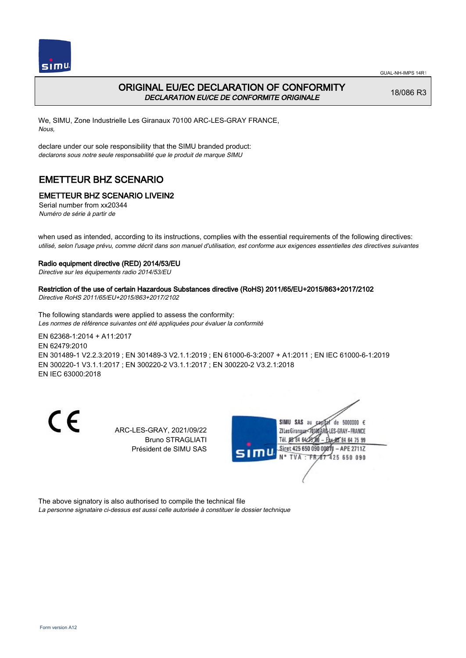



## ORIGINAL EU/EC DECLARATION OF CONFORMITY DECLARATION EU/CE DE CONFORMITE ORIGINALE

18/086 R3

We, SIMU, Zone Industrielle Les Giranaux 70100 ARC-LES-GRAY FRANCE, Nous,

declare under our sole responsibility that the SIMU branded product: declarons sous notre seule responsabilité que le produit de marque SIMU

# EMETTEUR BHZ SCENARIO

## EMETTEUR BHZ SCENARIO LIVEIN2

Serial number from xx20344 Numéro de série à partir de

when used as intended, according to its instructions, complies with the essential requirements of the following directives: utilisé, selon l'usage prévu, comme décrit dans son manuel d'utilisation, est conforme aux exigences essentielles des directives suivantes

#### Radio equipment directive (RED) 2014/53/EU

Directive sur les équipements radio 2014/53/EU

#### Restriction of the use of certain Hazardous Substances directive (RoHS) 2011/65/EU+2015/863+2017/2102

Directive RoHS 2011/65/EU+2015/863+2017/2102

The following standards were applied to assess the conformity: Les normes de référence suivantes ont été appliquées pour évaluer la conformité

EN 62368‑1:2014 + A11:2017 EN 62479:2010 EN 301489‑1 V2.2.3:2019 ; EN 301489‑3 V2.1.1:2019 ; EN 61000‑6‑3:2007 + A1:2011 ; EN IEC 61000‑6‑1:2019 EN 300220‑1 V3.1.1:2017 ; EN 300220‑2 V3.1.1:2017 ; EN 300220‑2 V3.2.1:2018 EN IEC 63000:2018

CE

ARC-LES-GRAY, 2021/09/22 Bruno STRAGLIATI Président de SIMU SAS



The above signatory is also authorised to compile the technical file

La personne signataire ci-dessus est aussi celle autorisée à constituer le dossier technique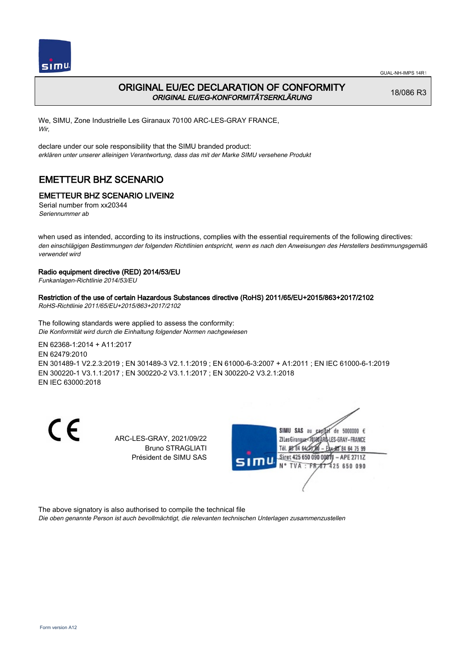



## ORIGINAL EU/EC DECLARATION OF CONFORMITY ORIGINAL EU/EG-KONFORMITÄTSERKLÄRUNG

18/086 R3

We, SIMU, Zone Industrielle Les Giranaux 70100 ARC-LES-GRAY FRANCE, Wir,

declare under our sole responsibility that the SIMU branded product: erklären unter unserer alleinigen Verantwortung, dass das mit der Marke SIMU versehene Produkt

# EMETTEUR BHZ SCENARIO

## EMETTEUR BHZ SCENARIO LIVEIN2

Serial number from xx20344 Seriennummer ab

when used as intended, according to its instructions, complies with the essential requirements of the following directives: den einschlägigen Bestimmungen der folgenden Richtlinien entspricht, wenn es nach den Anweisungen des Herstellers bestimmungsgemäß verwendet wird

### Radio equipment directive (RED) 2014/53/EU

Funkanlagen-Richtlinie 2014/53/EU

### Restriction of the use of certain Hazardous Substances directive (RoHS) 2011/65/EU+2015/863+2017/2102

RoHS-Richtlinie 2011/65/EU+2015/863+2017/2102

The following standards were applied to assess the conformity: Die Konformität wird durch die Einhaltung folgender Normen nachgewiesen

EN 62368‑1:2014 + A11:2017

EN 62479:2010

EN 301489‑1 V2.2.3:2019 ; EN 301489‑3 V2.1.1:2019 ; EN 61000‑6‑3:2007 + A1:2011 ; EN IEC 61000‑6‑1:2019 EN 300220‑1 V3.1.1:2017 ; EN 300220‑2 V3.1.1:2017 ; EN 300220‑2 V3.2.1:2018 EN IEC 63000:2018

CE

ARC-LES-GRAY, 2021/09/22 Bruno STRAGLIATI Président de SIMU SAS



The above signatory is also authorised to compile the technical file

Die oben genannte Person ist auch bevollmächtigt, die relevanten technischen Unterlagen zusammenzustellen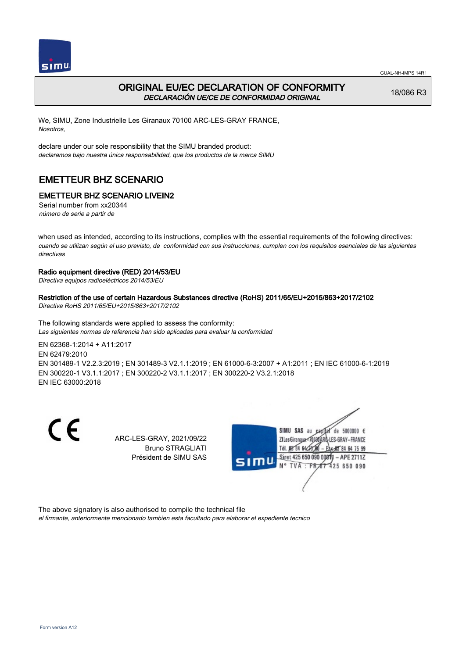



# ORIGINAL EU/EC DECLARATION OF CONFORMITY DECLARACIÓN UE/CE DE CONFORMIDAD ORIGINAL

18/086 R3

We, SIMU, Zone Industrielle Les Giranaux 70100 ARC-LES-GRAY FRANCE, Nosotros,

declare under our sole responsibility that the SIMU branded product: declaramos bajo nuestra única responsabilidad, que los productos de la marca SIMU

# EMETTEUR BHZ SCENARIO

# EMETTEUR BHZ SCENARIO LIVEIN2

Serial number from xx20344 número de serie a partir de

when used as intended, according to its instructions, complies with the essential requirements of the following directives: cuando se utilizan según el uso previsto, de conformidad con sus instrucciones, cumplen con los requisitos esenciales de las siguientes directivas

### Radio equipment directive (RED) 2014/53/EU

Directiva equipos radioeléctricos 2014/53/EU

### Restriction of the use of certain Hazardous Substances directive (RoHS) 2011/65/EU+2015/863+2017/2102

Directiva RoHS 2011/65/EU+2015/863+2017/2102

The following standards were applied to assess the conformity: Las siguientes normas de referencia han sido aplicadas para evaluar la conformidad

EN 62368‑1:2014 + A11:2017 EN 62479:2010

EN 301489‑1 V2.2.3:2019 ; EN 301489‑3 V2.1.1:2019 ; EN 61000‑6‑3:2007 + A1:2011 ; EN IEC 61000‑6‑1:2019 EN 300220‑1 V3.1.1:2017 ; EN 300220‑2 V3.1.1:2017 ; EN 300220‑2 V3.2.1:2018 EN IEC 63000:2018

CE

ARC-LES-GRAY, 2021/09/22 Bruno STRAGLIATI Président de SIMU SAS



The above signatory is also authorised to compile the technical file

el firmante, anteriormente mencionado tambien esta facultado para elaborar el expediente tecnico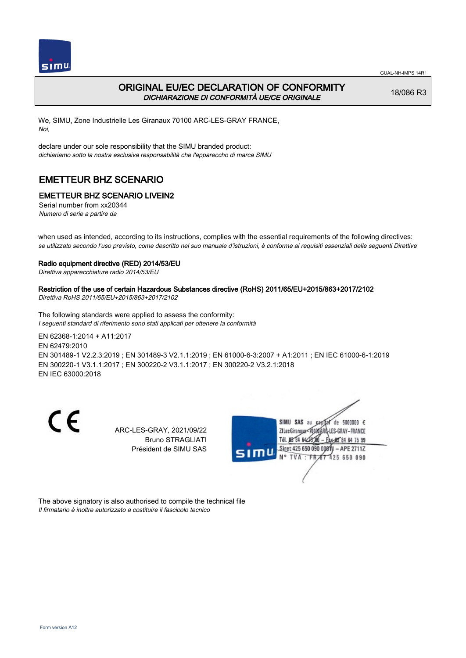



## ORIGINAL EU/EC DECLARATION OF CONFORMITY DICHIARAZIONE DI CONFORMITÀ UE/CE ORIGINALE

18/086 R3

We, SIMU, Zone Industrielle Les Giranaux 70100 ARC-LES-GRAY FRANCE, Noi,

declare under our sole responsibility that the SIMU branded product: dichiariamo sotto la nostra esclusiva responsabilità che l'appareccho di marca SIMU

# EMETTEUR BHZ SCENARIO

## EMETTEUR BHZ SCENARIO LIVEIN2

Serial number from xx20344 Numero di serie a partire da

when used as intended, according to its instructions, complies with the essential requirements of the following directives: se utilizzato secondo l'uso previsto, come descritto nel suo manuale d'istruzioni, è conforme ai requisiti essenziali delle seguenti Direttive

#### Radio equipment directive (RED) 2014/53/EU

Direttiva apparecchiature radio 2014/53/EU

### Restriction of the use of certain Hazardous Substances directive (RoHS) 2011/65/EU+2015/863+2017/2102

Direttiva RoHS 2011/65/EU+2015/863+2017/2102

The following standards were applied to assess the conformity: I seguenti standard di riferimento sono stati applicati per ottenere la conformità

EN 62368‑1:2014 + A11:2017 EN 62479:2010 EN 301489‑1 V2.2.3:2019 ; EN 301489‑3 V2.1.1:2019 ; EN 61000‑6‑3:2007 + A1:2011 ; EN IEC 61000‑6‑1:2019 EN 300220‑1 V3.1.1:2017 ; EN 300220‑2 V3.1.1:2017 ; EN 300220‑2 V3.2.1:2018 EN IEC 63000:2018

CE

ARC-LES-GRAY, 2021/09/22 Bruno STRAGLIATI Président de SIMU SAS



The above signatory is also authorised to compile the technical file Il firmatario è inoltre autorizzato a costituire il fascicolo tecnico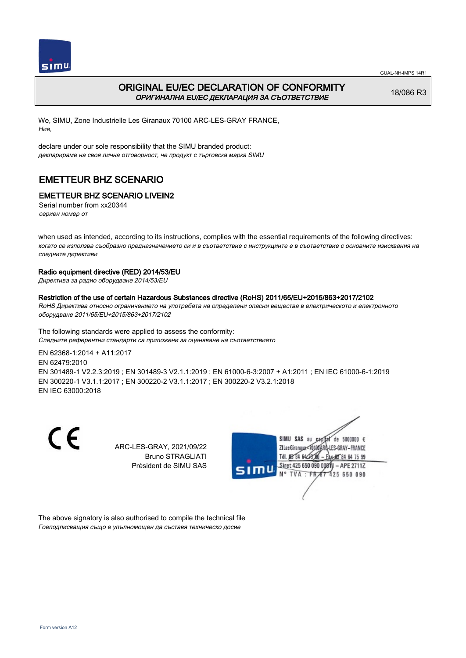



## ORIGINAL EU/EC DECLARATION OF CONFORMITY ОРИГИНАЛНА EU/EC ДЕКЛАРАЦИЯ ЗА СЪОТВЕТСТВИЕ

18/086 R3

We, SIMU, Zone Industrielle Les Giranaux 70100 ARC-LES-GRAY FRANCE, Ние,

declare under our sole responsibility that the SIMU branded product: декларираме на своя лична отговорност, че продукт с търговска марка SIMU

# EMETTEUR BHZ SCENARIO

## EMETTEUR BHZ SCENARIO LIVEIN2

Serial number from xx20344 сериен номер от

when used as intended, according to its instructions, complies with the essential requirements of the following directives: когато се използва съобразно предназначението си и в съответствие с инструкциите е в съответствие с основните изисквания на следните директиви

### Radio equipment directive (RED) 2014/53/EU

Директива за радио оборудване 2014/53/EU

# Restriction of the use of certain Hazardous Substances directive (RoHS) 2011/65/EU+2015/863+2017/2102

RoHS Директива относно ограничението на употребата на определени опасни вещества в електрическото и електронното оборудване 2011/65/EU+2015/863+2017/2102

The following standards were applied to assess the conformity: Следните референтни стандарти са приложени за оценяване на съответствието

EN 62368‑1:2014 + A11:2017 EN 62479:2010 EN 301489‑1 V2.2.3:2019 ; EN 301489‑3 V2.1.1:2019 ; EN 61000‑6‑3:2007 + A1:2011 ; EN IEC 61000‑6‑1:2019 EN 300220‑1 V3.1.1:2017 ; EN 300220‑2 V3.1.1:2017 ; EN 300220‑2 V3.2.1:2018 EN IEC 63000:2018

C E

ARC-LES-GRAY, 2021/09/22 Bruno STRAGLIATI Président de SIMU SAS



The above signatory is also authorised to compile the technical file Гоеподписващия също е упълномощен да съставя техническо досие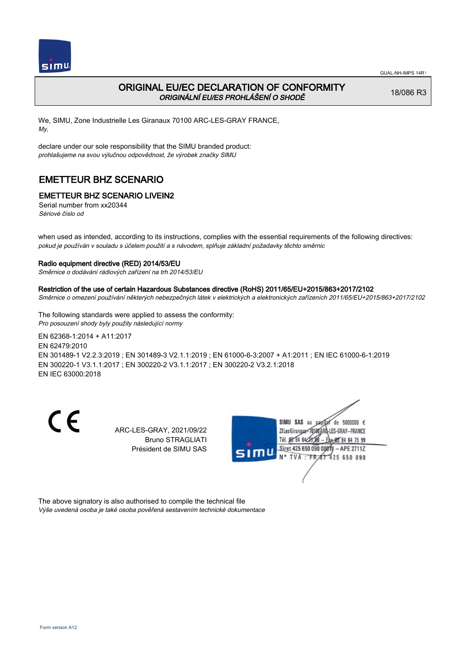

# ORIGINAL EU/EC DECLARATION OF CONFORMITY ORIGINÁLNÍ EU/ES PROHLÁŠENÍ O SHODĚ

18/086 R3

We, SIMU, Zone Industrielle Les Giranaux 70100 ARC-LES-GRAY FRANCE, My,

declare under our sole responsibility that the SIMU branded product: prohlašujeme na svou výlučnou odpovědnost, že výrobek značky SIMU

# EMETTEUR BHZ SCENARIO

## EMETTEUR BHZ SCENARIO LIVEIN2

Serial number from xx20344 Sériové číslo od

when used as intended, according to its instructions, complies with the essential requirements of the following directives: pokud je používán v souladu s účelem použití a s návodem, splňuje základní požadavky těchto směrnic

### Radio equipment directive (RED) 2014/53/EU

Směrnice o dodávání rádiových zařízení na trh 2014/53/EU

### Restriction of the use of certain Hazardous Substances directive (RoHS) 2011/65/EU+2015/863+2017/2102

Směrnice o omezení používání některých nebezpečných látek v elektrických a elektronických zařízeních 2011/65/EU+2015/863+2017/2102

The following standards were applied to assess the conformity: Pro posouzení shody byly použity následující normy

EN 62368‑1:2014 + A11:2017 EN 62479:2010 EN 301489‑1 V2.2.3:2019 ; EN 301489‑3 V2.1.1:2019 ; EN 61000‑6‑3:2007 + A1:2011 ; EN IEC 61000‑6‑1:2019 EN 300220‑1 V3.1.1:2017 ; EN 300220‑2 V3.1.1:2017 ; EN 300220‑2 V3.2.1:2018 EN IEC 63000:2018

CE

ARC-LES-GRAY, 2021/09/22 Bruno STRAGLIATI Président de SIMU SAS



The above signatory is also authorised to compile the technical file Výše uvedená osoba je také osoba pověřená sestavením technické dokumentace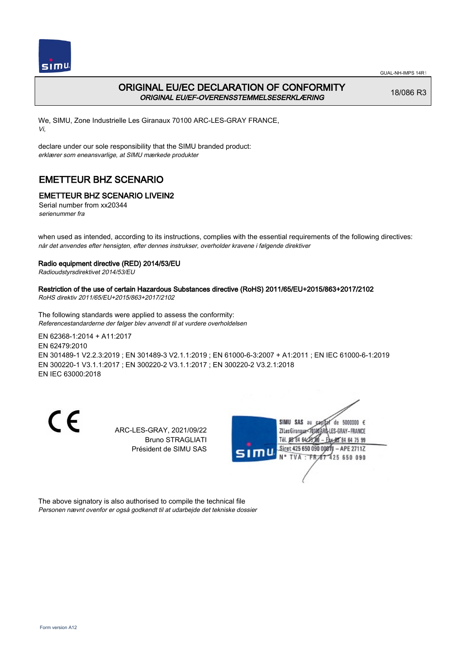



## ORIGINAL EU/EC DECLARATION OF CONFORMITY ORIGINAL EU/EF-OVERENSSTEMMELSESERKLÆRING

18/086 R3

We, SIMU, Zone Industrielle Les Giranaux 70100 ARC-LES-GRAY FRANCE, Vi,

declare under our sole responsibility that the SIMU branded product: erklærer som eneansvarlige, at SIMU mærkede produkter

# EMETTEUR BHZ SCENARIO

## EMETTEUR BHZ SCENARIO LIVEIN2

Serial number from xx20344 serienummer fra

when used as intended, according to its instructions, complies with the essential requirements of the following directives: når det anvendes efter hensigten, efter dennes instrukser, overholder kravene i følgende direktiver

### Radio equipment directive (RED) 2014/53/EU

Radioudstyrsdirektivet 2014/53/EU

### Restriction of the use of certain Hazardous Substances directive (RoHS) 2011/65/EU+2015/863+2017/2102

RoHS direktiv 2011/65/EU+2015/863+2017/2102

The following standards were applied to assess the conformity: Referencestandarderne der følger blev anvendt til at vurdere overholdelsen

EN 62368‑1:2014 + A11:2017 EN 62479:2010 EN 301489‑1 V2.2.3:2019 ; EN 301489‑3 V2.1.1:2019 ; EN 61000‑6‑3:2007 + A1:2011 ; EN IEC 61000‑6‑1:2019 EN 300220‑1 V3.1.1:2017 ; EN 300220‑2 V3.1.1:2017 ; EN 300220‑2 V3.2.1:2018 EN IEC 63000:2018

CE

ARC-LES-GRAY, 2021/09/22 Bruno STRAGLIATI Président de SIMU SAS



The above signatory is also authorised to compile the technical file Personen nævnt ovenfor er også godkendt til at udarbejde det tekniske dossier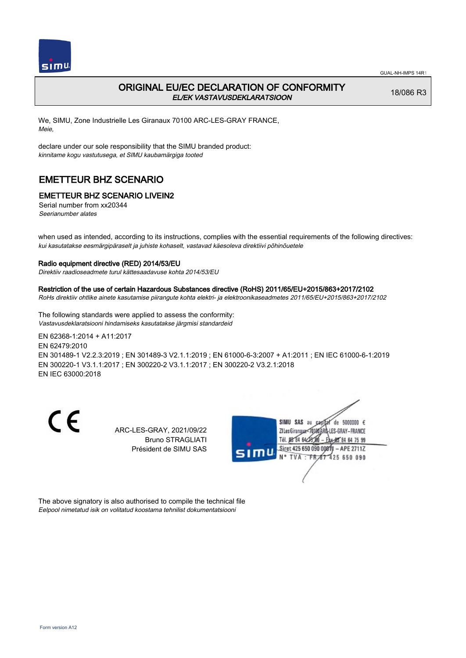

# ORIGINAL EU/EC DECLARATION OF CONFORMITY EL/EK VASTAVUSDEKLARATSIOON

18/086 R3

We, SIMU, Zone Industrielle Les Giranaux 70100 ARC-LES-GRAY FRANCE, Meie,

declare under our sole responsibility that the SIMU branded product: kinnitame kogu vastutusega, et SIMU kaubamärgiga tooted

# EMETTEUR BHZ SCENARIO

## EMETTEUR BHZ SCENARIO LIVEIN2

Serial number from xx20344 Seerianumber alates

when used as intended, according to its instructions, complies with the essential requirements of the following directives: kui kasutatakse eesmärgipäraselt ja juhiste kohaselt, vastavad käesoleva direktiivi põhinõuetele

### Radio equipment directive (RED) 2014/53/EU

Direktiiv raadioseadmete turul kättesaadavuse kohta 2014/53/EU

#### Restriction of the use of certain Hazardous Substances directive (RoHS) 2011/65/EU+2015/863+2017/2102

RoHs direktiiv ohtlike ainete kasutamise piirangute kohta elektri- ja elektroonikaseadmetes 2011/65/EU+2015/863+2017/2102

The following standards were applied to assess the conformity: Vastavusdeklaratsiooni hindamiseks kasutatakse järgmisi standardeid

EN 62368‑1:2014 + A11:2017 EN 62479:2010 EN 301489‑1 V2.2.3:2019 ; EN 301489‑3 V2.1.1:2019 ; EN 61000‑6‑3:2007 + A1:2011 ; EN IEC 61000‑6‑1:2019 EN 300220‑1 V3.1.1:2017 ; EN 300220‑2 V3.1.1:2017 ; EN 300220‑2 V3.2.1:2018 EN IEC 63000:2018

CE

ARC-LES-GRAY, 2021/09/22 Bruno STRAGLIATI Président de SIMU SAS



The above signatory is also authorised to compile the technical file Eelpool nimetatud isik on volitatud koostama tehnilist dokumentatsiooni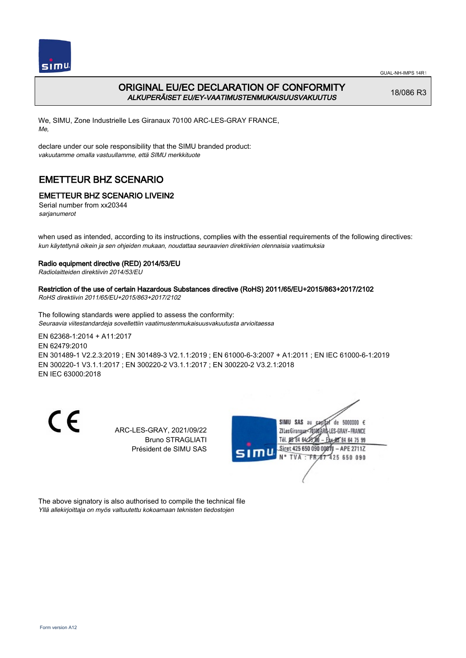



## ORIGINAL EU/EC DECLARATION OF CONFORMITY ALKUPERÄISET EU/EY-VAATIMUSTENMUKAISUUSVAKUUTUS

18/086 R3

We, SIMU, Zone Industrielle Les Giranaux 70100 ARC-LES-GRAY FRANCE, Me,

declare under our sole responsibility that the SIMU branded product: vakuutamme omalla vastuullamme, että SIMU merkkituote

# EMETTEUR BHZ SCENARIO

## EMETTEUR BHZ SCENARIO LIVEIN2

Serial number from xx20344 sarjanumerot

when used as intended, according to its instructions, complies with the essential requirements of the following directives: kun käytettynä oikein ja sen ohjeiden mukaan, noudattaa seuraavien direktiivien olennaisia vaatimuksia

### Radio equipment directive (RED) 2014/53/EU

Radiolaitteiden direktiivin 2014/53/EU

Restriction of the use of certain Hazardous Substances directive (RoHS) 2011/65/EU+2015/863+2017/2102 RoHS direktiivin 2011/65/EU+2015/863+2017/2102

The following standards were applied to assess the conformity: Seuraavia viitestandardeja sovellettiin vaatimustenmukaisuusvakuutusta arvioitaessa

EN 62368‑1:2014 + A11:2017 EN 62479:2010 EN 301489‑1 V2.2.3:2019 ; EN 301489‑3 V2.1.1:2019 ; EN 61000‑6‑3:2007 + A1:2011 ; EN IEC 61000‑6‑1:2019 EN 300220‑1 V3.1.1:2017 ; EN 300220‑2 V3.1.1:2017 ; EN 300220‑2 V3.2.1:2018 EN IEC 63000:2018

CE

ARC-LES-GRAY, 2021/09/22 Bruno STRAGLIATI Président de SIMU SAS



The above signatory is also authorised to compile the technical file Yllä allekirjoittaja on myös valtuutettu kokoamaan teknisten tiedostojen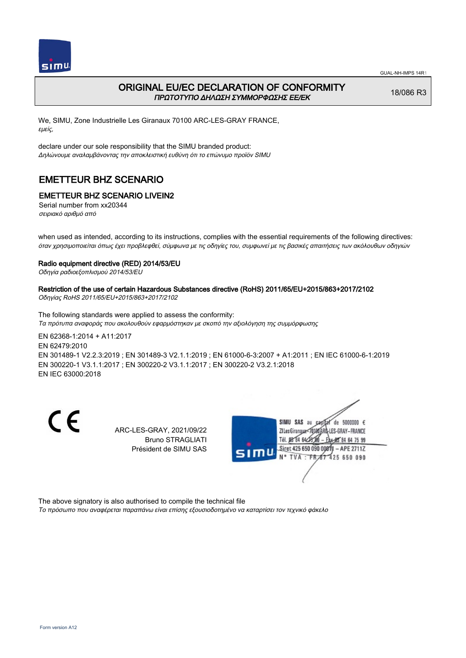



## ORIGINAL EU/EC DECLARATION OF CONFORMITY ΠΡΩΤΟΤΥΠΟ ΔΗΛΩΣΗ ΣΥΜΜΟΡΦΩΣΗΣ ΕΕ/EK

18/086 R3

We, SIMU, Zone Industrielle Les Giranaux 70100 ARC-LES-GRAY FRANCE, εμείς,

declare under our sole responsibility that the SIMU branded product: Δηλώνουμε αναλαμβάνοντας την αποκλειστική ευθύνη ότι το επώνυμο προϊόν SIMU

# EMETTEUR BHZ SCENARIO

## EMETTEUR BHZ SCENARIO LIVEIN2

Serial number from xx20344 σειριακό αριθμό από

when used as intended, according to its instructions, complies with the essential requirements of the following directives: όταν χρησιμοποιείται όπως έχει προβλεφθεί, σύμφωνα με τις οδηγίες του, συμφωνεί με τις βασικές απαιτήσεις των ακόλουθων οδηγιών

### Radio equipment directive (RED) 2014/53/EU

Οδηγία ραδιοεξοπλισμού 2014/53/EU

# Restriction of the use of certain Hazardous Substances directive (RoHS) 2011/65/EU+2015/863+2017/2102

Οδηγίας RoHS 2011/65/EU+2015/863+2017/2102

The following standards were applied to assess the conformity: Τα πρότυπα αναφοράς που ακολουθούν εφαρμόστηκαν με σκοπό την αξιολόγηση της συμμόρφωσης

EN 62368‑1:2014 + A11:2017 EN 62479:2010 EN 301489‑1 V2.2.3:2019 ; EN 301489‑3 V2.1.1:2019 ; EN 61000‑6‑3:2007 + A1:2011 ; EN IEC 61000‑6‑1:2019 EN 300220‑1 V3.1.1:2017 ; EN 300220‑2 V3.1.1:2017 ; EN 300220‑2 V3.2.1:2018 EN IEC 63000:2018

CE

ARC-LES-GRAY, 2021/09/22 Bruno STRAGLIATI Président de SIMU SAS



The above signatory is also authorised to compile the technical file

Το πρόσωπο που αναφέρεται παραπάνω είναι επίσης εξουσιοδοτημένο να καταρτίσει τον τεχνικό φάκελο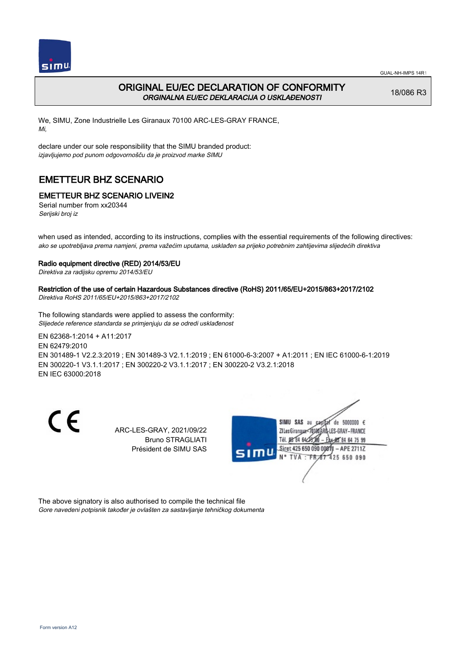

## ORIGINAL EU/EC DECLARATION OF CONFORMITY ORGINALNA EU/EC DEKLARACIJA O USKLAĐENOSTI

18/086 R3

We, SIMU, Zone Industrielle Les Giranaux 70100 ARC-LES-GRAY FRANCE, Mi,

declare under our sole responsibility that the SIMU branded product: izjavljujemo pod punom odgovornošču da je proizvod marke SIMU

# EMETTEUR BHZ SCENARIO

## EMETTEUR BHZ SCENARIO LIVEIN2

Serial number from xx20344 Serijski broj iz

when used as intended, according to its instructions, complies with the essential requirements of the following directives: ako se upotrebljava prema namjeni, prema važećim uputama, usklađen sa prijeko potrebnim zahtijevima slijedećih direktiva

#### Radio equipment directive (RED) 2014/53/EU

Direktiva za radijsku opremu 2014/53/EU

# Restriction of the use of certain Hazardous Substances directive (RoHS) 2011/65/EU+2015/863+2017/2102

Direktiva RoHS 2011/65/EU+2015/863+2017/2102

The following standards were applied to assess the conformity: Slijedeće reference standarda se primjenjuju da se odredi usklađenost

EN 62368‑1:2014 + A11:2017 EN 62479:2010 EN 301489‑1 V2.2.3:2019 ; EN 301489‑3 V2.1.1:2019 ; EN 61000‑6‑3:2007 + A1:2011 ; EN IEC 61000‑6‑1:2019 EN 300220‑1 V3.1.1:2017 ; EN 300220‑2 V3.1.1:2017 ; EN 300220‑2 V3.2.1:2018 EN IEC 63000:2018

CE

ARC-LES-GRAY, 2021/09/22 Bruno STRAGLIATI Président de SIMU SAS



The above signatory is also authorised to compile the technical file Gore navedeni potpisnik također je ovlašten za sastavljanje tehničkog dokumenta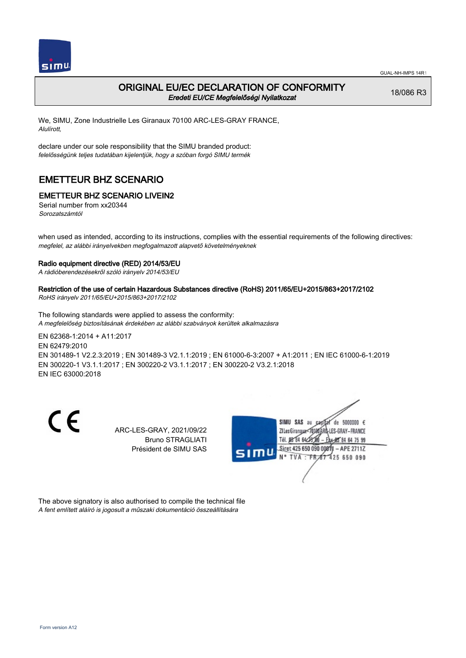

### ORIGINAL EU/EC DECLARATION OF CONFORMITY Eredeti EU/CE Megfelelőségi Nyilatkozat

18/086 R3

We, SIMU, Zone Industrielle Les Giranaux 70100 ARC-LES-GRAY FRANCE, Alulírott,

declare under our sole responsibility that the SIMU branded product: felelősségünk teljes tudatában kijelentjük, hogy a szóban forgó SIMU termék

# EMETTEUR BHZ SCENARIO

### EMETTEUR BHZ SCENARIO LIVEIN2

Serial number from xx20344 Sorozatszámtól

when used as intended, according to its instructions, complies with the essential requirements of the following directives: megfelel, az alábbi irányelvekben megfogalmazott alapvető követelményeknek

#### Radio equipment directive (RED) 2014/53/EU

A rádióberendezésekről szóló irányelv 2014/53/EU

### Restriction of the use of certain Hazardous Substances directive (RoHS) 2011/65/EU+2015/863+2017/2102

RoHS irányelv 2011/65/EU+2015/863+2017/2102

The following standards were applied to assess the conformity: A megfelelőség biztosításának érdekében az alábbi szabványok kerültek alkalmazásra

EN 62368‑1:2014 + A11:2017 EN 62479:2010 EN 301489‑1 V2.2.3:2019 ; EN 301489‑3 V2.1.1:2019 ; EN 61000‑6‑3:2007 + A1:2011 ; EN IEC 61000‑6‑1:2019 EN 300220‑1 V3.1.1:2017 ; EN 300220‑2 V3.1.1:2017 ; EN 300220‑2 V3.2.1:2018 EN IEC 63000:2018

CE

ARC-LES-GRAY, 2021/09/22 Bruno STRAGLIATI Président de SIMU SAS



The above signatory is also authorised to compile the technical file A fent említett aláíró is jogosult a műszaki dokumentáció összeállítására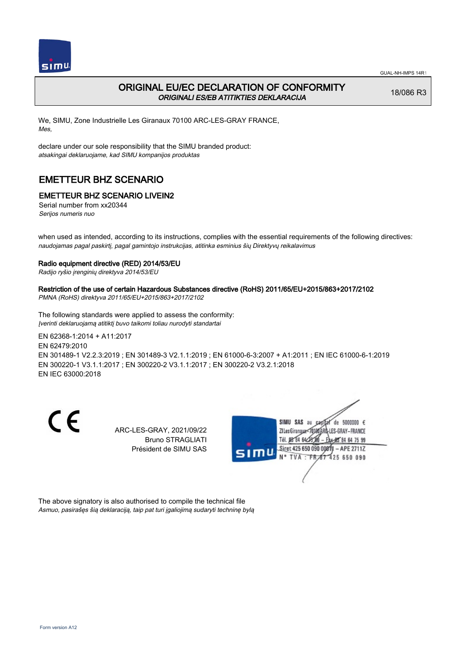

# ORIGINAL EU/EC DECLARATION OF CONFORMITY ORIGINALI ES/EB ATITIKTIES DEKLARACIJA

18/086 R3

We, SIMU, Zone Industrielle Les Giranaux 70100 ARC-LES-GRAY FRANCE, Mes,

declare under our sole responsibility that the SIMU branded product: atsakingai deklaruojame, kad SIMU kompanijos produktas

# EMETTEUR BHZ SCENARIO

## EMETTEUR BHZ SCENARIO LIVEIN2

Serial number from xx20344 Serijos numeris nuo

when used as intended, according to its instructions, complies with the essential requirements of the following directives: naudojamas pagal paskirtį, pagal gamintojo instrukcijas, atitinka esminius šių Direktyvų reikalavimus

### Radio equipment directive (RED) 2014/53/EU

Radijo ryšio įrenginių direktyva 2014/53/EU

### Restriction of the use of certain Hazardous Substances directive (RoHS) 2011/65/EU+2015/863+2017/2102

PMNA (RoHS) direktyva 2011/65/EU+2015/863+2017/2102

The following standards were applied to assess the conformity: Įverinti deklaruojamą atitiktį buvo taikomi toliau nurodyti standartai

EN 62368‑1:2014 + A11:2017 EN 62479:2010 EN 301489‑1 V2.2.3:2019 ; EN 301489‑3 V2.1.1:2019 ; EN 61000‑6‑3:2007 + A1:2011 ; EN IEC 61000‑6‑1:2019 EN 300220‑1 V3.1.1:2017 ; EN 300220‑2 V3.1.1:2017 ; EN 300220‑2 V3.2.1:2018 EN IEC 63000:2018

CE

ARC-LES-GRAY, 2021/09/22 Bruno STRAGLIATI Président de SIMU SAS



The above signatory is also authorised to compile the technical file Asmuo, pasirašęs šią deklaraciją, taip pat turi įgaliojimą sudaryti techninę bylą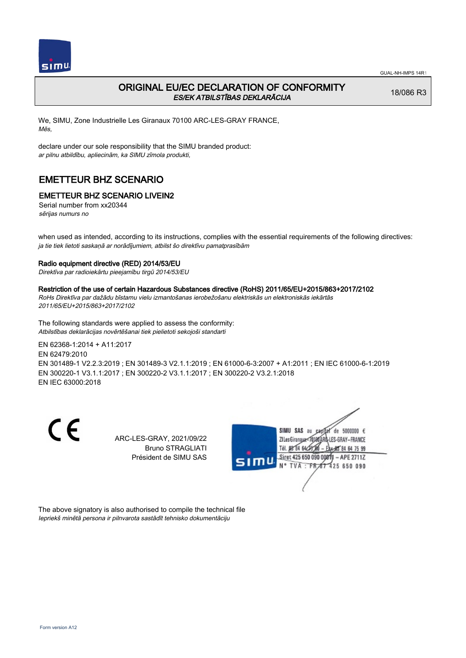

# ORIGINAL EU/EC DECLARATION OF CONFORMITY ES/EK ATBILSTĪBAS DEKLARĀCIJA

18/086 R3

We, SIMU, Zone Industrielle Les Giranaux 70100 ARC-LES-GRAY FRANCE, Mēs,

declare under our sole responsibility that the SIMU branded product: ar pilnu atbildību, apliecinām, ka SIMU zīmola produkti,

# EMETTEUR BHZ SCENARIO

# EMETTEUR BHZ SCENARIO LIVEIN2

Serial number from xx20344 sērijas numurs no

when used as intended, according to its instructions, complies with the essential requirements of the following directives: ja tie tiek lietoti saskaņā ar norādījumiem, atbilst šo direktīvu pamatprasībām

### Radio equipment directive (RED) 2014/53/EU

Direktīva par radioiekārtu pieejamību tirgū 2014/53/EU

### Restriction of the use of certain Hazardous Substances directive (RoHS) 2011/65/EU+2015/863+2017/2102

RoHs Direktīva par dažādu bīstamu vielu izmantošanas ierobežošanu elektriskās un elektroniskās iekārtās 2011/65/EU+2015/863+2017/2102

The following standards were applied to assess the conformity: Atbilstības deklarācijas novērtēšanai tiek pielietoti sekojoši standarti

EN 62368‑1:2014 + A11:2017

EN 62479:2010 EN 301489‑1 V2.2.3:2019 ; EN 301489‑3 V2.1.1:2019 ; EN 61000‑6‑3:2007 + A1:2011 ; EN IEC 61000‑6‑1:2019 EN 300220‑1 V3.1.1:2017 ; EN 300220‑2 V3.1.1:2017 ; EN 300220‑2 V3.2.1:2018

EN IEC 63000:2018

CE

ARC-LES-GRAY, 2021/09/22 Bruno STRAGLIATI Président de SIMU SAS



The above signatory is also authorised to compile the technical file Iepriekš minētā persona ir pilnvarota sastādīt tehnisko dokumentāciju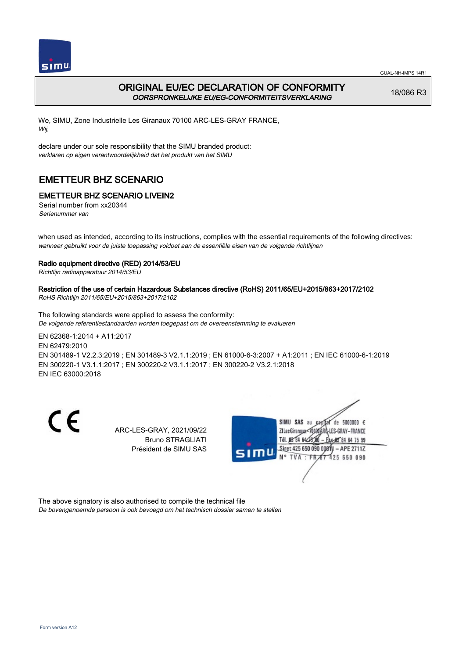

# ORIGINAL EU/EC DECLARATION OF CONFORMITY OORSPRONKELIJKE EU/EG-CONFORMITEITSVERKLARING

18/086 R3

We, SIMU, Zone Industrielle Les Giranaux 70100 ARC-LES-GRAY FRANCE, Wij,

declare under our sole responsibility that the SIMU branded product: verklaren op eigen verantwoordelijkheid dat het produkt van het SIMU

# EMETTEUR BHZ SCENARIO

# EMETTEUR BHZ SCENARIO LIVEIN2

Serial number from xx20344 Serienummer van

when used as intended, according to its instructions, complies with the essential requirements of the following directives: wanneer gebruikt voor de juiste toepassing voldoet aan de essentiële eisen van de volgende richtlijnen

### Radio equipment directive (RED) 2014/53/EU

Richtlijn radioapparatuur 2014/53/EU

# Restriction of the use of certain Hazardous Substances directive (RoHS) 2011/65/EU+2015/863+2017/2102

RoHS Richtlijn 2011/65/EU+2015/863+2017/2102

The following standards were applied to assess the conformity: De volgende referentiestandaarden worden toegepast om de overeenstemming te evalueren

EN 62368‑1:2014 + A11:2017 EN 62479:2010 EN 301489‑1 V2.2.3:2019 ; EN 301489‑3 V2.1.1:2019 ; EN 61000‑6‑3:2007 + A1:2011 ; EN IEC 61000‑6‑1:2019 EN 300220‑1 V3.1.1:2017 ; EN 300220‑2 V3.1.1:2017 ; EN 300220‑2 V3.2.1:2018 EN IEC 63000:2018

CE

ARC-LES-GRAY, 2021/09/22 Bruno STRAGLIATI Président de SIMU SAS



The above signatory is also authorised to compile the technical file

De bovengenoemde persoon is ook bevoegd om het technisch dossier samen te stellen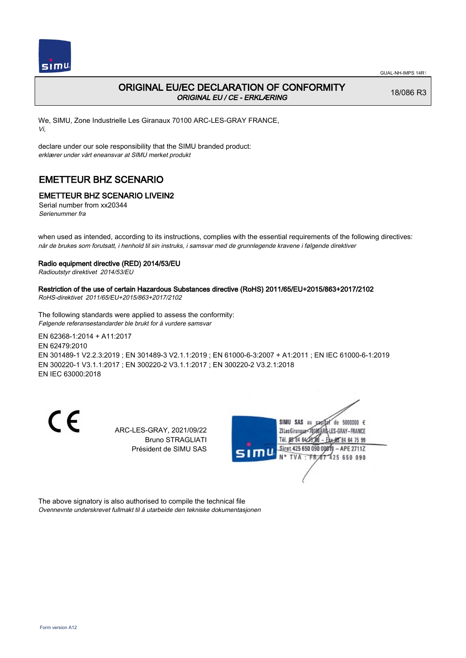

# ORIGINAL EU/EC DECLARATION OF CONFORMITY ORIGINAL EU / CE - ERKLÆRING

18/086 R3

We, SIMU, Zone Industrielle Les Giranaux 70100 ARC-LES-GRAY FRANCE, Vi,

declare under our sole responsibility that the SIMU branded product: erklærer under vårt eneansvar at SIMU merket produkt

# EMETTEUR BHZ SCENARIO

## EMETTEUR BHZ SCENARIO LIVEIN2

Serial number from xx20344 Serienummer fra

when used as intended, according to its instructions, complies with the essential requirements of the following directives: når de brukes som forutsatt, i henhold til sin instruks, i samsvar med de grunnlegende kravene i følgende direktiver

#### Radio equipment directive (RED) 2014/53/EU

Radioutstyr direktivet 2014/53/EU

# Restriction of the use of certain Hazardous Substances directive (RoHS) 2011/65/EU+2015/863+2017/2102

RoHS-direktivet 2011/65/EU+2015/863+2017/2102

The following standards were applied to assess the conformity: Følgende referansestandarder ble brukt for å vurdere samsvar

EN 62368‑1:2014 + A11:2017 EN 62479:2010 EN 301489‑1 V2.2.3:2019 ; EN 301489‑3 V2.1.1:2019 ; EN 61000‑6‑3:2007 + A1:2011 ; EN IEC 61000‑6‑1:2019 EN 300220‑1 V3.1.1:2017 ; EN 300220‑2 V3.1.1:2017 ; EN 300220‑2 V3.2.1:2018 EN IEC 63000:2018

CE

ARC-LES-GRAY, 2021/09/22 Bruno STRAGLIATI Président de SIMU SAS



The above signatory is also authorised to compile the technical file Ovennevnte underskrevet fullmakt til å utarbeide den tekniske dokumentasjonen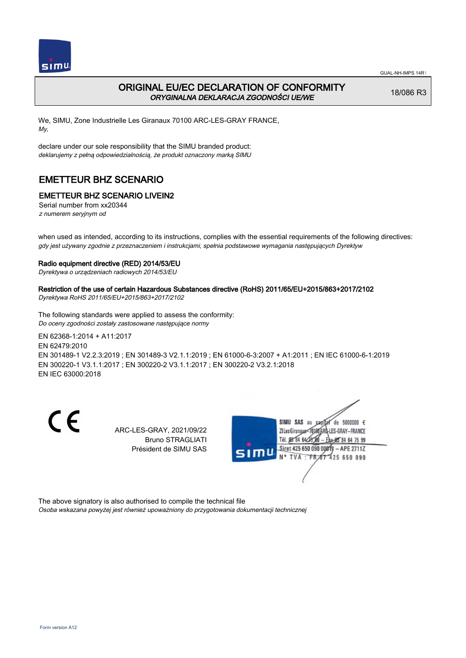

# ORIGINAL EU/EC DECLARATION OF CONFORMITY ORYGINALNA DEKLARACJA ZGODNOŚCI UE/WE

18/086 R3

We, SIMU, Zone Industrielle Les Giranaux 70100 ARC-LES-GRAY FRANCE, My,

declare under our sole responsibility that the SIMU branded product: deklarujemy z pełną odpowiedzialnością, że produkt oznaczony marką SIMU

# EMETTEUR BHZ SCENARIO

## EMETTEUR BHZ SCENARIO LIVEIN2

Serial number from xx20344 z numerem seryjnym od

when used as intended, according to its instructions, complies with the essential requirements of the following directives: gdy jest używany zgodnie z przeznaczeniem i instrukcjami, spełnia podstawowe wymagania następujących Dyrektyw

### Radio equipment directive (RED) 2014/53/EU

Dyrektywa o urządzeniach radiowych 2014/53/EU

### Restriction of the use of certain Hazardous Substances directive (RoHS) 2011/65/EU+2015/863+2017/2102

Dyrektywa RoHS 2011/65/EU+2015/863+2017/2102

The following standards were applied to assess the conformity: Do oceny zgodności zostały zastosowane następujące normy

EN 62368‑1:2014 + A11:2017 EN 62479:2010 EN 301489‑1 V2.2.3:2019 ; EN 301489‑3 V2.1.1:2019 ; EN 61000‑6‑3:2007 + A1:2011 ; EN IEC 61000‑6‑1:2019 EN 300220‑1 V3.1.1:2017 ; EN 300220‑2 V3.1.1:2017 ; EN 300220‑2 V3.2.1:2018 EN IEC 63000:2018

CE

ARC-LES-GRAY, 2021/09/22 Bruno STRAGLIATI Président de SIMU SAS



The above signatory is also authorised to compile the technical file

Osoba wskazana powyżej jest również upoważniony do przygotowania dokumentacji technicznej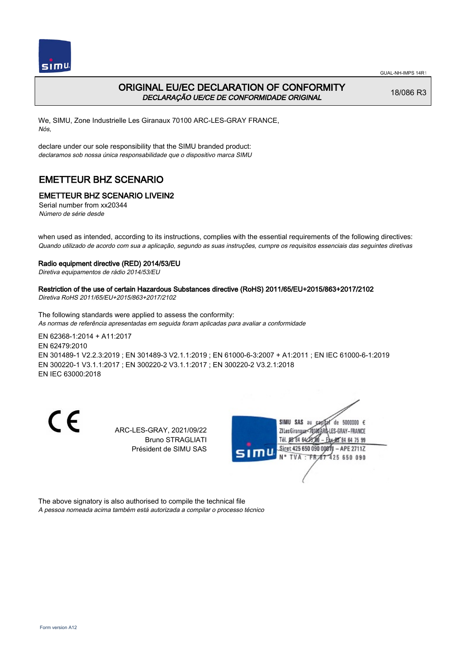



## ORIGINAL EU/EC DECLARATION OF CONFORMITY DECLARAÇÃO UE/CE DE CONFORMIDADE ORIGINAL

18/086 R3

We, SIMU, Zone Industrielle Les Giranaux 70100 ARC-LES-GRAY FRANCE, Nós,

declare under our sole responsibility that the SIMU branded product: declaramos sob nossa única responsabilidade que o dispositivo marca SIMU

# EMETTEUR BHZ SCENARIO

## EMETTEUR BHZ SCENARIO LIVEIN2

Serial number from xx20344 Número de série desde

when used as intended, according to its instructions, complies with the essential requirements of the following directives: Quando utilizado de acordo com sua a aplicação, segundo as suas instruções, cumpre os requisitos essenciais das seguintes diretivas

### Radio equipment directive (RED) 2014/53/EU

Diretiva equipamentos de rádio 2014/53/EU

### Restriction of the use of certain Hazardous Substances directive (RoHS) 2011/65/EU+2015/863+2017/2102

Diretiva RoHS 2011/65/EU+2015/863+2017/2102

The following standards were applied to assess the conformity: As normas de referência apresentadas em seguida foram aplicadas para avaliar a conformidade

EN 62368‑1:2014 + A11:2017 EN 62479:2010 EN 301489‑1 V2.2.3:2019 ; EN 301489‑3 V2.1.1:2019 ; EN 61000‑6‑3:2007 + A1:2011 ; EN IEC 61000‑6‑1:2019 EN 300220‑1 V3.1.1:2017 ; EN 300220‑2 V3.1.1:2017 ; EN 300220‑2 V3.2.1:2018 EN IEC 63000:2018

CE

ARC-LES-GRAY, 2021/09/22 Bruno STRAGLIATI Président de SIMU SAS



The above signatory is also authorised to compile the technical file A pessoa nomeada acima também está autorizada a compilar o processo técnico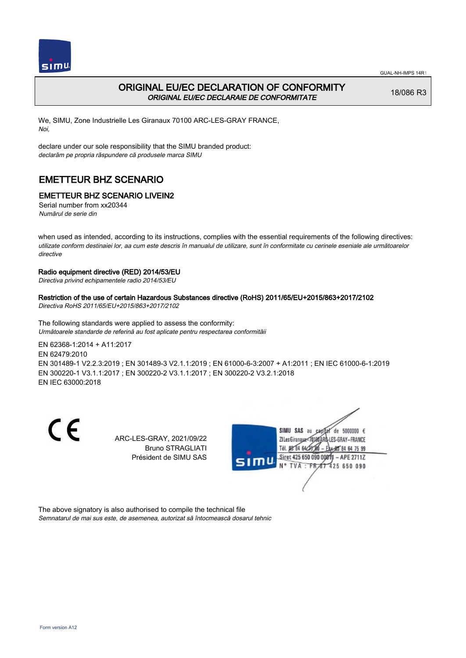

## ORIGINAL EU/EC DECLARATION OF CONFORMITY ORIGINAL EU/EC DECLARAIE DE CONFORMITATE

18/086 R3

We, SIMU, Zone Industrielle Les Giranaux 70100 ARC-LES-GRAY FRANCE, Noi,

declare under our sole responsibility that the SIMU branded product: declarăm pe propria răspundere că produsele marca SIMU

# EMETTEUR BHZ SCENARIO

### EMETTEUR BHZ SCENARIO LIVEIN2

Serial number from xx20344 Numărul de serie din

when used as intended, according to its instructions, complies with the essential requirements of the following directives: utilizate conform destinaiei lor, aa cum este descris în manualul de utilizare, sunt în conformitate cu cerinele eseniale ale următoarelor directive

#### Radio equipment directive (RED) 2014/53/EU

Directiva privind echipamentele radio 2014/53/EU

#### Restriction of the use of certain Hazardous Substances directive (RoHS) 2011/65/EU+2015/863+2017/2102

Directiva RoHS 2011/65/EU+2015/863+2017/2102

The following standards were applied to assess the conformity: Următoarele standarde de referină au fost aplicate pentru respectarea conformităii

EN 62368‑1:2014 + A11:2017 EN 62479:2010

EN 301489‑1 V2.2.3:2019 ; EN 301489‑3 V2.1.1:2019 ; EN 61000‑6‑3:2007 + A1:2011 ; EN IEC 61000‑6‑1:2019 EN 300220‑1 V3.1.1:2017 ; EN 300220‑2 V3.1.1:2017 ; EN 300220‑2 V3.2.1:2018 EN IEC 63000:2018

CE

ARC-LES-GRAY, 2021/09/22 Bruno STRAGLIATI Président de SIMU SAS



The above signatory is also authorised to compile the technical file Semnatarul de mai sus este, de asemenea, autorizat să întocmească dosarul tehnic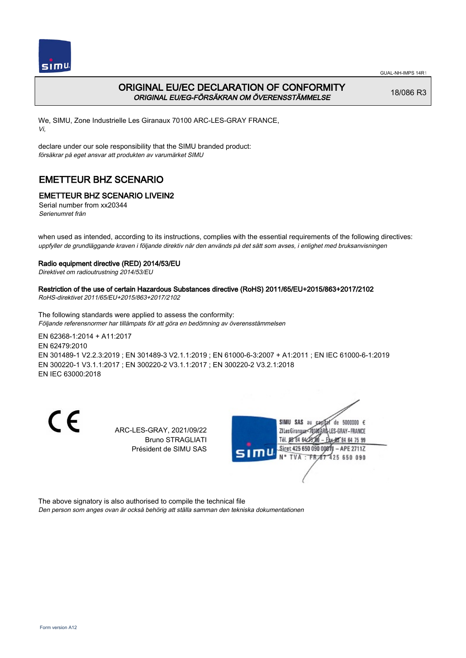

# ORIGINAL EU/EC DECLARATION OF CONFORMITY ORIGINAL EU/EG-FÖRSÄKRAN OM ÖVERENSSTÄMMELSE

18/086 R3

We, SIMU, Zone Industrielle Les Giranaux 70100 ARC-LES-GRAY FRANCE, Vi,

declare under our sole responsibility that the SIMU branded product: försäkrar på eget ansvar att produkten av varumärket SIMU

# EMETTEUR BHZ SCENARIO

## EMETTEUR BHZ SCENARIO LIVEIN2

Serial number from xx20344 Serienumret från

when used as intended, according to its instructions, complies with the essential requirements of the following directives: uppfyller de grundläggande kraven i följande direktiv när den används på det sätt som avses, i enlighet med bruksanvisningen

### Radio equipment directive (RED) 2014/53/EU

Direktivet om radioutrustning 2014/53/EU

# Restriction of the use of certain Hazardous Substances directive (RoHS) 2011/65/EU+2015/863+2017/2102

RoHS-direktivet 2011/65/EU+2015/863+2017/2102

The following standards were applied to assess the conformity: Följande referensnormer har tillämpats för att göra en bedömning av överensstämmelsen

EN 62368‑1:2014 + A11:2017 EN 62479:2010 EN 301489‑1 V2.2.3:2019 ; EN 301489‑3 V2.1.1:2019 ; EN 61000‑6‑3:2007 + A1:2011 ; EN IEC 61000‑6‑1:2019 EN 300220‑1 V3.1.1:2017 ; EN 300220‑2 V3.1.1:2017 ; EN 300220‑2 V3.2.1:2018 EN IEC 63000:2018

CE

ARC-LES-GRAY, 2021/09/22 Bruno STRAGLIATI Président de SIMU SAS



The above signatory is also authorised to compile the technical file

Den person som anges ovan är också behörig att ställa samman den tekniska dokumentationen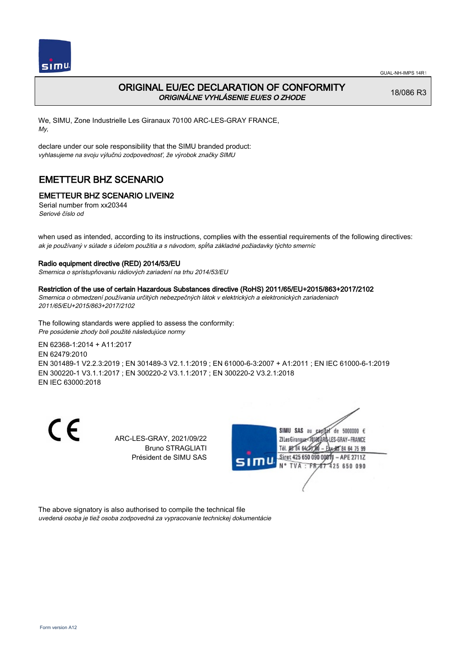

# ORIGINAL EU/EC DECLARATION OF CONFORMITY ORIGINÁLNE VYHLÁSENIE EU/ES O ZHODE

18/086 R3

We, SIMU, Zone Industrielle Les Giranaux 70100 ARC-LES-GRAY FRANCE, My,

declare under our sole responsibility that the SIMU branded product: vyhlasujeme na svoju výlučnú zodpovednosť, že výrobok značky SIMU

# EMETTEUR BHZ SCENARIO

# EMETTEUR BHZ SCENARIO LIVEIN2

Serial number from xx20344 Seriové číslo od

when used as intended, according to its instructions, complies with the essential requirements of the following directives: ak je používaný v súlade s účelom použitia a s návodom, spĺňa základné požiadavky týchto smerníc

### Radio equipment directive (RED) 2014/53/EU

Smernica o sprístupňovaniu rádiových zariadení na trhu 2014/53/EU

#### Restriction of the use of certain Hazardous Substances directive (RoHS) 2011/65/EU+2015/863+2017/2102

Smernica o obmedzení používania určitých nebezpečných látok v elektrických a elektronických zariadeniach 2011/65/EU+2015/863+2017/2102

The following standards were applied to assess the conformity: Pre posúdenie zhody boli použité následujúce normy

EN 62368‑1:2014 + A11:2017

EN 62479:2010

EN 301489‑1 V2.2.3:2019 ; EN 301489‑3 V2.1.1:2019 ; EN 61000‑6‑3:2007 + A1:2011 ; EN IEC 61000‑6‑1:2019 EN 300220‑1 V3.1.1:2017 ; EN 300220‑2 V3.1.1:2017 ; EN 300220‑2 V3.2.1:2018 EN IEC 63000:2018

CE

ARC-LES-GRAY, 2021/09/22 Bruno STRAGLIATI Président de SIMU SAS



The above signatory is also authorised to compile the technical file uvedená osoba je tiež osoba zodpovedná za vypracovanie technickej dokumentácie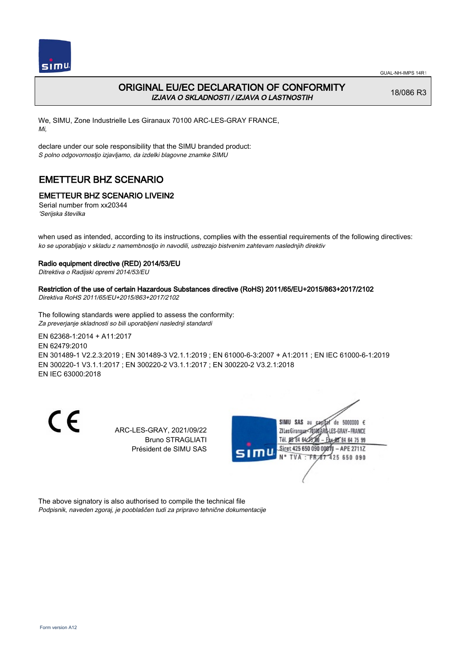



# ORIGINAL EU/EC DECLARATION OF CONFORMITY IZJAVA O SKLADNOSTI / IZJAVA O LASTNOSTIH

18/086 R3

We, SIMU, Zone Industrielle Les Giranaux 70100 ARC-LES-GRAY FRANCE, Mi,

declare under our sole responsibility that the SIMU branded product: S polno odgovornostjo izjavljamo, da izdelki blagovne znamke SIMU

# EMETTEUR BHZ SCENARIO

## EMETTEUR BHZ SCENARIO LIVEIN2

Serial number from xx20344 'Serijska številka

when used as intended, according to its instructions, complies with the essential requirements of the following directives: ko se uporabljajo v skladu z namembnostjo in navodili, ustrezajo bistvenim zahtevam naslednjih direktiv

#### Radio equipment directive (RED) 2014/53/EU

Ditrektiva o Radijski opremi 2014/53/EU

## Restriction of the use of certain Hazardous Substances directive (RoHS) 2011/65/EU+2015/863+2017/2102

Direktiva RoHS 2011/65/EU+2015/863+2017/2102

The following standards were applied to assess the conformity: Za preverjanje skladnosti so bili uporabljeni naslednji standardi

EN 62368‑1:2014 + A11:2017 EN 62479:2010 EN 301489‑1 V2.2.3:2019 ; EN 301489‑3 V2.1.1:2019 ; EN 61000‑6‑3:2007 + A1:2011 ; EN IEC 61000‑6‑1:2019 EN 300220‑1 V3.1.1:2017 ; EN 300220‑2 V3.1.1:2017 ; EN 300220‑2 V3.2.1:2018 EN IEC 63000:2018

CE

ARC-LES-GRAY, 2021/09/22 Bruno STRAGLIATI Président de SIMU SAS



The above signatory is also authorised to compile the technical file Podpisnik, naveden zgoraj, je pooblaščen tudi za pripravo tehnične dokumentacije